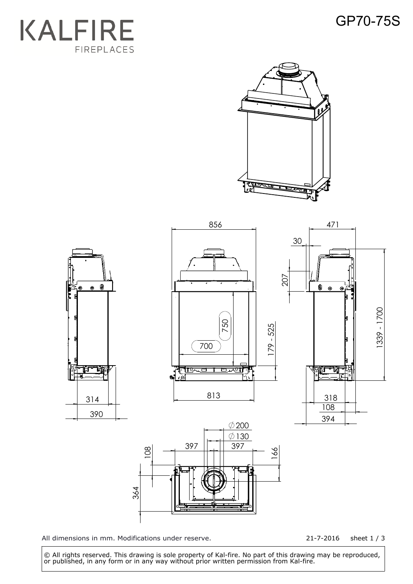## GP70-75S







All dimensions in mm. Modifications under reserve.

21-7-2016 sheet 1 / 3

 © All rights reserved. This drawing is sole property of Kal-fire. No part of this drawing may be reproduced, or published, in any form or in any way without prior written permission from Kal-fire.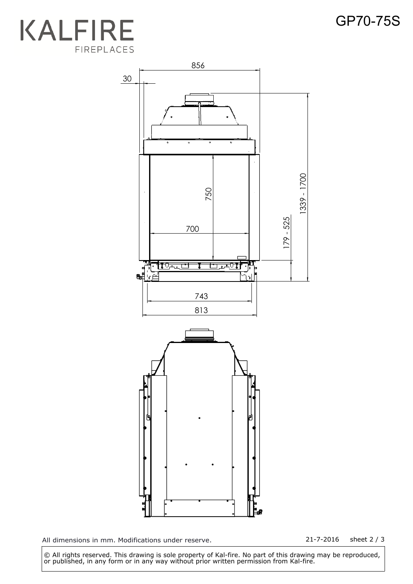## **KALFIRE** FIREPLACES



All dimensions in mm. Modifications under reserve. 21-7-2016 sheet 2 / 3

 © All rights reserved. This drawing is sole property of Kal-fire. No part of this drawing may be reproduced, or published, in any form or in any way without prior written permission from Kal-fire.